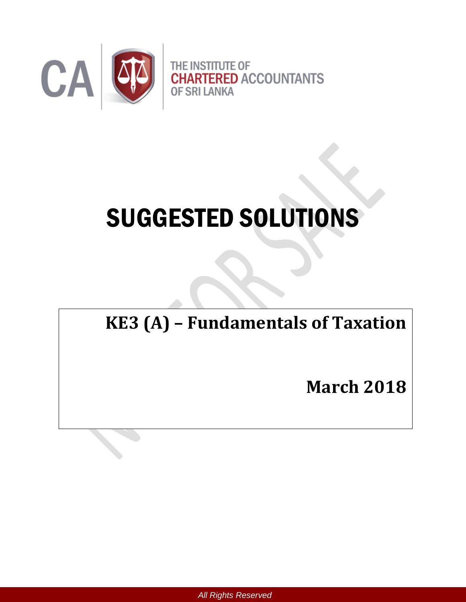

# SUGGESTED SOLUTIONS

# **KE3 (A) – Fundamentals of Taxation**

**March 2018**

*All Rights Reserved*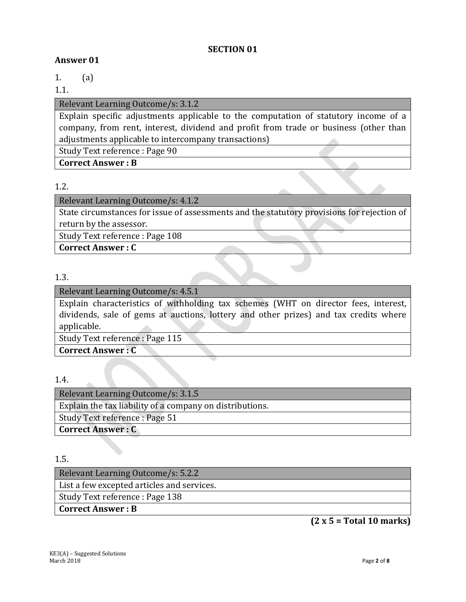#### **SECTION 01**

#### **Answer 01**

1. (a)

#### 1.1.

#### Relevant Learning Outcome/s: 3.1.2

Explain specific adjustments applicable to the computation of statutory income of a company, from rent, interest, dividend and profit from trade or business (other than adjustments applicable to intercompany transactions)

Study Text reference : Page 90

**Correct Answer : B**

#### 1.2.

#### Relevant Learning Outcome/s: 4.1.2

State circumstances for issue of assessments and the statutory provisions for rejection of return by the assessor.

Study Text reference : Page 108

**Correct Answer : C**

## 1.3.

#### Relevant Learning Outcome/s: 4.5.1

Explain characteristics of withholding tax schemes (WHT on director fees, interest, dividends, sale of gems at auctions, lottery and other prizes) and tax credits where applicable.

Study Text reference : Page 115

**Correct Answer : C**

#### 1.4.

| Relevant Learning Outcome/s: 3.1.5                       |
|----------------------------------------------------------|
| Explain the tax liability of a company on distributions. |
| Study Text reference : Page 51                           |
| <b>Correct Answer: C</b>                                 |

1.5.

Relevant Learning Outcome/s: 5.2.2 List a few excepted articles and services. Study Text reference : Page 138 **Correct Answer : B**

**(2 x 5 = Total 10 marks)**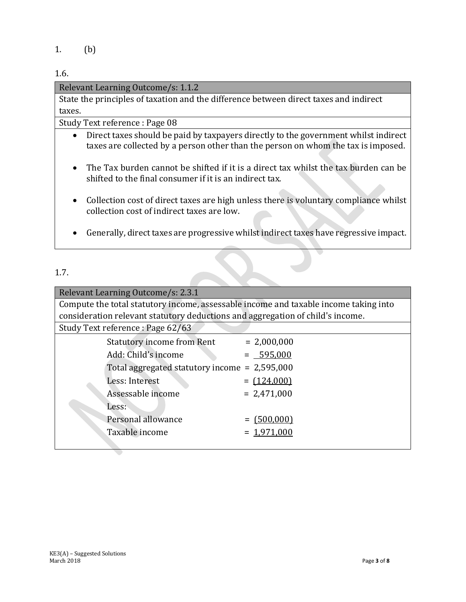1. (b)

1.6.

#### Relevant Learning Outcome/s: 1.1.2

State the principles of taxation and the difference between direct taxes and indirect taxes.

Study Text reference : Page 08

- Direct taxes should be paid by taxpayers directly to the government whilst indirect taxes are collected by a person other than the person on whom the tax is imposed.
- The Tax burden cannot be shifted if it is a direct tax whilst the tax burden can be shifted to the final consumer if it is an indirect tax.
- Collection cost of direct taxes are high unless there is voluntary compliance whilst collection cost of indirect taxes are low.
- Generally, direct taxes are progressive whilst indirect taxes have regressive impact.

#### 1.7.

| Relevant Learning Outcome/s: 2.3.1                                                   |                                                                                |               |  |
|--------------------------------------------------------------------------------------|--------------------------------------------------------------------------------|---------------|--|
| Compute the total statutory income, assessable income and taxable income taking into |                                                                                |               |  |
|                                                                                      | consideration relevant statutory deductions and aggregation of child's income. |               |  |
|                                                                                      | Study Text reference : Page 62/63                                              |               |  |
|                                                                                      | <b>Statutory income from Rent</b>                                              | $= 2,000,000$ |  |
|                                                                                      | Add: Child's income                                                            | $= 595,000$   |  |
|                                                                                      | Total aggregated statutory income = $2,595,000$                                |               |  |
|                                                                                      | Less: Interest                                                                 | $= (124,000)$ |  |
|                                                                                      | Assessable income                                                              | $= 2,471,000$ |  |
|                                                                                      | Less:                                                                          |               |  |
|                                                                                      | Personal allowance                                                             | $= (500,000)$ |  |
|                                                                                      | Taxable income                                                                 | $= 1.971.000$ |  |
|                                                                                      |                                                                                |               |  |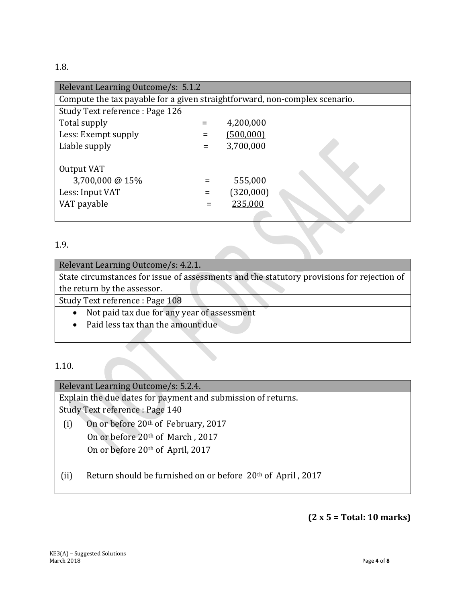#### 1.8.

| Relevant Learning Outcome/s: 5.1.2                                         |  |           |  |  |
|----------------------------------------------------------------------------|--|-----------|--|--|
| Compute the tax payable for a given straightforward, non-complex scenario. |  |           |  |  |
| Study Text reference : Page 126                                            |  |           |  |  |
| Total supply                                                               |  | 4,200,000 |  |  |
| Less: Exempt supply                                                        |  | (500,000) |  |  |
| Liable supply                                                              |  | 3,700,000 |  |  |
|                                                                            |  |           |  |  |
| Output VAT                                                                 |  |           |  |  |
| 3,700,000 @ 15%                                                            |  | 555,000   |  |  |
| Less: Input VAT                                                            |  | (320,000) |  |  |
| VAT payable                                                                |  | 235,000   |  |  |
|                                                                            |  |           |  |  |

# 1.9.

| Relevant Learning Outcome/s: 4.2.1.                                                        |
|--------------------------------------------------------------------------------------------|
| State circumstances for issue of assessments and the statutory provisions for rejection of |
| the return by the assessor.                                                                |
| Study Text reference : Page 108                                                            |
| Not paid tax due for any year of assessment                                                |

Paid less tax than the amount due

# 1.10.

|                             | Relevant Learning Outcome/s: 5.2.4.                                     |
|-----------------------------|-------------------------------------------------------------------------|
|                             | Explain the due dates for payment and submission of returns.            |
|                             | Study Text reference : Page 140                                         |
| (i)                         | On or before 20 <sup>th</sup> of February, 2017                         |
|                             | On or before 20th of March, 2017                                        |
|                             | On or before $20th$ of April, 2017                                      |
|                             |                                                                         |
| $\left( \mathrm{ii}\right)$ | Return should be furnished on or before 20 <sup>th</sup> of April, 2017 |
|                             |                                                                         |
|                             |                                                                         |

# **(2 x 5 = Total: 10 marks)**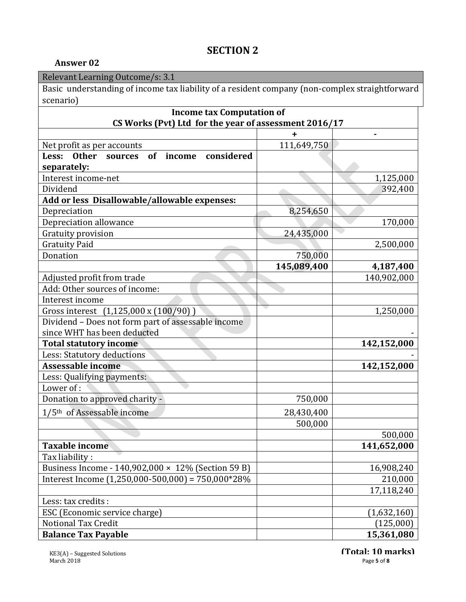# **SECTION 2**

#### **Answer 02**

|  |  | Relevant Learning Outcome/s: 3.1 |  |  |
|--|--|----------------------------------|--|--|
|  |  |                                  |  |  |

Basic understanding of income tax liability of a resident company (non-complex straightforward scenario)

| <b>Income tax Computation of</b>                            |             |             |  |  |
|-------------------------------------------------------------|-------------|-------------|--|--|
| CS Works (Pvt) Ltd for the year of assessment 2016/17       |             |             |  |  |
|                                                             | +           |             |  |  |
| Net profit as per accounts                                  | 111,649,750 |             |  |  |
| considered<br><b>Other</b><br>of income<br>Less:<br>sources |             |             |  |  |
| separately:                                                 |             |             |  |  |
| Interest income-net                                         |             | 1,125,000   |  |  |
| Dividend                                                    |             | 392,400     |  |  |
| Add or less Disallowable/allowable expenses:                |             |             |  |  |
| Depreciation                                                | 8,254,650   |             |  |  |
| Depreciation allowance                                      |             | 170,000     |  |  |
| Gratuity provision                                          | 24,435,000  |             |  |  |
| <b>Gratuity Paid</b>                                        |             | 2,500,000   |  |  |
| Donation                                                    | 750,000     |             |  |  |
|                                                             | 145,089,400 | 4,187,400   |  |  |
| Adjusted profit from trade                                  |             | 140,902,000 |  |  |
| Add: Other sources of income:                               |             |             |  |  |
| Interest income                                             |             |             |  |  |
| Gross interest (1,125,000 x (100/90))                       |             | 1,250,000   |  |  |
| Dividend - Does not form part of assessable income          |             |             |  |  |
| since WHT has been deducted                                 |             |             |  |  |
| <b>Total statutory income</b>                               |             | 142,152,000 |  |  |
| Less: Statutory deductions                                  |             |             |  |  |
| Assessable income                                           |             | 142,152,000 |  |  |
| Less: Qualifying payments:                                  |             |             |  |  |
| Lower of:                                                   |             |             |  |  |
| Donation to approved charity -                              | 750,000     |             |  |  |
| 1/5 <sup>th</sup> of Assessable income                      | 28,430,400  |             |  |  |
|                                                             | 500,000     |             |  |  |
|                                                             |             | 500,000     |  |  |
| <b>Taxable income</b>                                       |             | 141,652,000 |  |  |
| Tax liability:                                              |             |             |  |  |
| Business Income - 140,902,000 × 12% (Section 59 B)          |             | 16,908,240  |  |  |
| Interest Income $(1,250,000-500,000) = 750,000*28%$         |             | 210,000     |  |  |
|                                                             |             | 17,118,240  |  |  |
| Less: tax credits :                                         |             |             |  |  |
| ESC (Economic service charge)                               |             | (1,632,160) |  |  |
| Notional Tax Credit                                         |             | (125,000)   |  |  |
| <b>Balance Tax Payable</b>                                  |             | 15,361,080  |  |  |

**(Total: 10 marks)**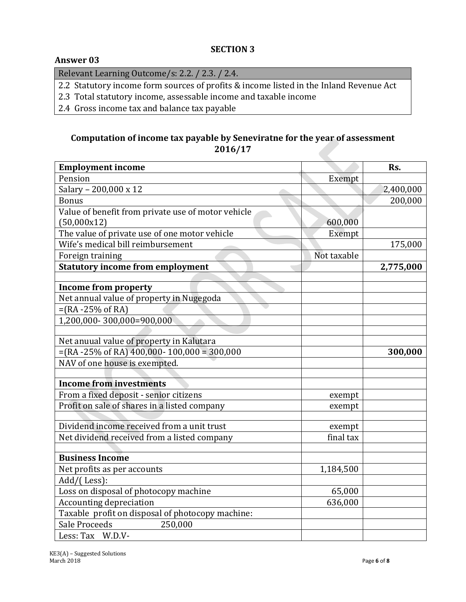#### **SECTION 3**

#### **Answer 03**

Relevant Learning Outcome/s: 2.2. / 2.3. / 2.4.

2.2 Statutory income form sources of profits & income listed in the Inland Revenue Act

- 2.3 Total statutory income, assessable income and taxable income
- 2.4 Gross income tax and balance tax payable

## **Computation of income tax payable by Seneviratne for the year of assessment 2016/17**

| <b>Employment income</b>                                |             | Rs.       |
|---------------------------------------------------------|-------------|-----------|
| Pension                                                 | Exempt      |           |
| Salary - 200,000 x 12                                   |             | 2,400,000 |
| <b>Bonus</b>                                            |             | 200,000   |
| Value of benefit from private use of motor vehicle      |             |           |
| (50,000x12)                                             | 600,000     |           |
| The value of private use of one motor vehicle           | Exempt      |           |
| Wife's medical bill reimbursement                       |             | 175,000   |
| Foreign training                                        | Not taxable |           |
| <b>Statutory income from employment</b>                 |             | 2,775,000 |
|                                                         |             |           |
| <b>Income from property</b>                             |             |           |
| Net annual value of property in Nugegoda                |             |           |
| $=(RA - 25\% \text{ of RA})$                            |             |           |
| 1,200,000-300,000=900,000                               |             |           |
|                                                         |             |           |
| Net anuual value of property in Kalutara                |             |           |
| $=(RA - 25\% \text{ of RA})$ 400,000- 100,000 = 300,000 |             | 300,000   |
| NAV of one house is exempted.                           |             |           |
| <b>Income from investments</b>                          |             |           |
| From a fixed deposit - senior citizens                  |             |           |
| Profit on sale of shares in a listed company            | exempt      |           |
|                                                         | exempt      |           |
| Dividend income received from a unit trust              | exempt      |           |
| Net dividend received from a listed company             | final tax   |           |
|                                                         |             |           |
| <b>Business Income</b>                                  |             |           |
| Net profits as per accounts                             | 1,184,500   |           |
| Add/(Less):                                             |             |           |
| Loss on disposal of photocopy machine                   | 65,000      |           |
| <b>Accounting depreciation</b>                          | 636,000     |           |
| Taxable profit on disposal of photocopy machine:        |             |           |
| Sale Proceeds<br>250,000                                |             |           |
| Less: Tax W.D.V-                                        |             |           |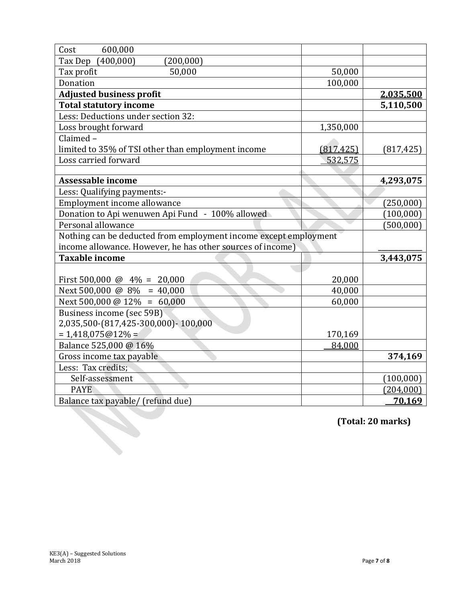| Cost<br>600,000                                                  |            |            |
|------------------------------------------------------------------|------------|------------|
| (400,000)<br>Tax Dep<br>(200, 000)                               |            |            |
| Tax profit<br>50,000                                             | 50,000     |            |
| Donation                                                         | 100,000    |            |
| <b>Adjusted business profit</b>                                  |            | 2,035,500  |
| <b>Total statutory income</b>                                    |            | 5,110,500  |
| Less: Deductions under section 32:                               |            |            |
| Loss brought forward                                             | 1,350,000  |            |
| Claimed-                                                         |            |            |
| limited to 35% of TSI other than employment income               | (817, 425) | (817, 425) |
| Loss carried forward                                             | 532,575    |            |
|                                                                  |            |            |
| Assessable income                                                |            | 4,293,075  |
| Less: Qualifying payments:-                                      |            |            |
| Employment income allowance                                      |            | (250,000)  |
| Donation to Api wenuwen Api Fund - 100% allowed                  |            | (100,000)  |
| Personal allowance                                               |            | (500, 000) |
| Nothing can be deducted from employment income except employment |            |            |
| income allowance. However, he has other sources of income)       |            |            |
| <b>Taxable income</b>                                            |            | 3,443,075  |
|                                                                  |            |            |
| First 500,000 @ $4\% = 20,000$                                   | 20,000     |            |
| Next 500,000 @ $8\% = 40,000$                                    | 40,000     |            |
| Next 500,000 @ 12\% = 60,000                                     | 60,000     |            |
| Business income (sec 59B)                                        |            |            |
| 2,035,500-(817,425-300,000)-100,000                              |            |            |
| $= 1,418,075@12% =$                                              | 170,169    |            |
| Balance 525,000 @ 16%                                            | 84,000     |            |
| Gross income tax payable                                         |            | 374,169    |
| Less: Tax credits;                                               |            |            |
| Self-assessment                                                  |            | (100,000)  |
| <b>PAYE</b>                                                      |            | (204,000)  |
| Balance tax payable/ (refund due)                                |            | 70,169     |

**(Total: 20 marks)**